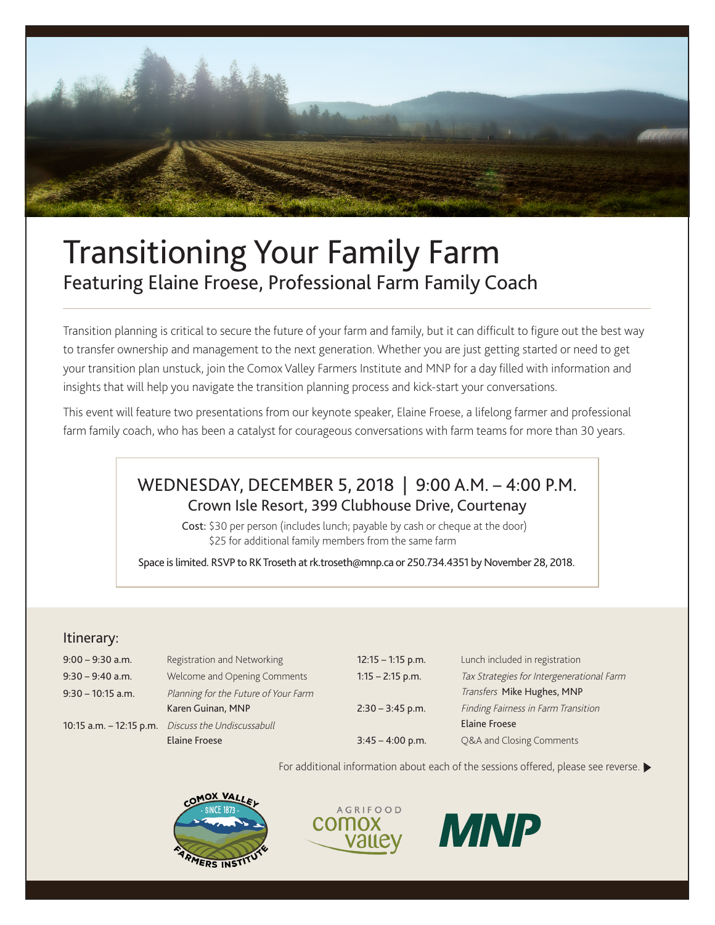

# Transitioning Your Family Farm Featuring Elaine Froese, Professional Farm Family Coach

Transition planning is critical to secure the future of your farm and family, but it can difficult to figure out the best way to transfer ownership and management to the next generation. Whether you are just getting started or need to get your transition plan unstuck, join the Comox Valley Farmers Institute and MNP for a day filled with information and insights that will help you navigate the transition planning process and kick-start your conversations.

This event will feature two presentations from our keynote speaker, Elaine Froese, a lifelong farmer and professional farm family coach, who has been a catalyst for courageous conversations with farm teams for more than 30 years.

## WEDNESDAY, DECEMBER 5, 2018 | 9:00 A.M. – 4:00 P.M. Crown Isle Resort, 399 Clubhouse Drive, Courtenay

Cost: \$30 per person (includes lunch; payable by cash or cheque at the door) \$25 for additional family members from the same farm

Space is limited. RSVP to RK Troseth at rk.troseth@mnp.ca or 250.734.4351 by November 28, 2018.

### Itinerary:

| $9:00 - 9:30$ a.m.      | Registration and Networking          | $12:15 - 1:15$ p.m. | Lunch included in registration            |
|-------------------------|--------------------------------------|---------------------|-------------------------------------------|
| $9:30 - 9:40$ a.m.      | Welcome and Opening Comments         | $1:15 - 2:15$ p.m.  | Tax Strategies for Intergenerational Farm |
| $9:30 - 10:15$ a.m.     | Planning for the Future of Your Farm |                     | Transfers Mike Hughes, MNP                |
|                         | Karen Guinan, MNP                    | $2:30 - 3:45$ p.m.  | Finding Fairness in Farm Transition       |
| 10:15 a.m. – 12:15 p.m. | Discuss the Undiscussabull           |                     | <b>Elaine Froese</b>                      |
|                         | Elaine Froese                        | $3:45 - 4:00$ p.m.  | Q&A and Closing Comments                  |
|                         |                                      |                     |                                           |

For additional information about each of the sessions offered, please see reverse.